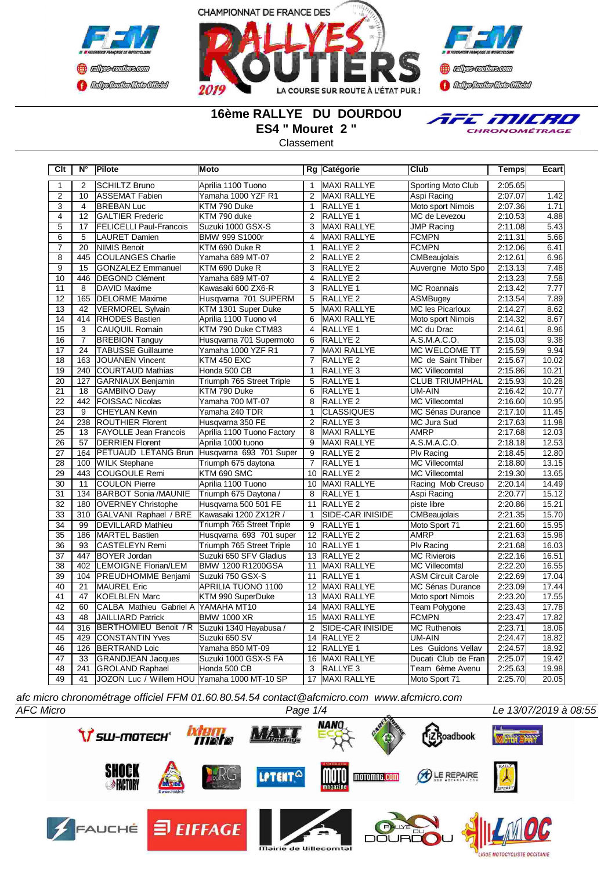





## **16ème RALLYE DU DOURDOU ES4 " Mouret 2 "**

**Classement** 



**Clt N° Pilote Moto Rg Catégorie Club Temps Ecart** 1 2 SCHILTZ Bruno Aprilia 1100 Tuono 1 MAXI RALLYE Sporting Moto Club 2:05.65<br>2 10 ASSEMAT Fabien Yamaha 1000 YZF R1 2 MAXI RALLYE Aspi Racing 2:07.07 2 10 ASSEMAT Fabien Yamaha 1000 YZF R1 2 MAXI RALLYE Aspi Racing 2:07.07 1.42 3 4 BREBAN Luc KTM 790 Duke 1 RALLYE 1 Moto sport Nimois 2:07.36 1.71 4 12 GALTIER Frederic KTM 790 duke 2 RALLYE 1 MC de Levezou 2:10.53 4.88<br>2 RALLYE MC de Levezou 2:11.08 5.43 5 17 FELICELLI Paul-Francois Suzuki 1000 GSX-S 3 MAXI RALLYE JMP Racing 2:11.08<br>6 5 LAURET Damien BMW 999 S1000r 4 MAXI RALLYE FCMPN 2:11.31 5 LAURET Damien BMW 999 S1000r 4 MAXI RALLYE FCMPN 2:11.31 5.66 20 NIMIS Benoit KTM 690 Duke R 1 RALLYE 2 8 445 COULANGES Charlie Yamaha 689 MT-07 2 RALLYE 2 CMBeaujolais 2:12.61 6.96<br>9 15 GONZALEZ Emmanuel KTM 690 Duke R 3 RALLYE 2 Auvergne Moto Spo 2:13.13 7.48 15 GONZALEZ Emmanuel

| 10              | 446             | <b>IDEGOND Clément</b>                      | Yamaha 689 MT-07           | 4               | <b>IRALLYE 2</b>        |                           | 2:13.23 | 7.58  |
|-----------------|-----------------|---------------------------------------------|----------------------------|-----------------|-------------------------|---------------------------|---------|-------|
| 11              | 8               | <b>DAVID Maxime</b>                         | Kawasaki 600 ZX6-R         | 3               | <b>RALLYE 1</b>         | <b>MC Roannais</b>        | 2:13.42 | 7.77  |
| 12              | 165             | <b>IDELORME</b> Maxime                      | Husqvarna 701 SUPERM       | 5               | <b>RALLYE 2</b>         | <b>ASMBugey</b>           | 2:13.54 | 7.89  |
| 13              | 42              | VERMOREL Sylvain                            | KTM 1301 Super Duke        | 5               | <b>MAXI RALLYE</b>      | <b>MC</b> les Picarloux   | 2:14.27 | 8.62  |
| 14              | 414             | <b>RHODES</b> Bastien                       | Aprilia 1100 Tuono v4      | 6               | MAXI RALLYE             | Moto sport Nimois         | 2:14.32 | 8.67  |
| 15              | 3               | <b>ICAUQUIL Romain</b>                      | KTM 790 Duke CTM83         | 4               | <b>RALLYE 1</b>         | MC du Drac                | 2:14.61 | 8.96  |
| 16              | $\overline{7}$  | <b>BREBION Tanguy</b>                       | Husgvarna 701 Supermoto    | 6               | <b>RALLYE 2</b>         | A.S.M.A.C.O.              | 2:15.03 | 9.38  |
| 17              | 24              | <b>TABUSSE Guillaume</b>                    | Yamaha 1000 YZF R1         | $\overline{7}$  | MAXI RALLYE             | <b>MC WELCOME TT</b>      | 2:15.59 | 9.94  |
| 18              | 163             | <b>JOUANEN Vincent</b>                      | <b>KTM 450 EXC</b>         | $\overline{7}$  | <b>RALLYE 2</b>         | MC de Saint Thiber        | 2:15.67 | 10.02 |
| 19              | 240             | <b>COURTAUD Mathias</b>                     | Honda 500 CB               | 1               | RALLYE <sub>3</sub>     | <b>MC Villecomtal</b>     | 2:15.86 | 10.21 |
| 20              | 127             | GARNIAUX Benjamin                           | Triumph 765 Street Triple  | 5               | RALLYE 1                | <b>CLUB TRIUMPHAL</b>     | 2:15.93 | 10.28 |
| $\overline{21}$ | 18              | GAMBINO Davy                                | KTM 790 Duke               | 6               | RALLYE 1                | UM-AIN                    | 2:16.42 | 10.77 |
| 22              | 442             | <b>FOISSAC Nicolas</b>                      | Yamaha 700 MT-07           | 8               | RALLYE <sub>2</sub>     | <b>MC Villecomtal</b>     | 2:16.60 | 10.95 |
| $\overline{23}$ | 9               | <b>CHEYLAN Kevin</b>                        | Yamaha 240 TDR             | $\mathbf{1}$    | <b>CLASSIQUES</b>       | <b>MC Sénas Durance</b>   | 2:17.10 | 11.45 |
| $\overline{24}$ | 238             | <b>ROUTHIER Florent</b>                     | Husqvarna 350 FE           | 2               | <b>RALLYE 3</b>         | <b>MC Jura Sud</b>        | 2:17.63 | 11.98 |
| 25              | 13              | <b>FAYOLLE Jean Francois</b>                | Aprilia 1100 Tuono Factory | 8               | MAXI RALLYE             | <b>AMRP</b>               | 2:17.68 | 12.03 |
| 26              | 57              | <b>IDERRIEN Florent</b>                     | Aprilia 1000 tuono         | 9               | <b>MAXI RALLYE</b>      | A.S.M.A.C.O.              | 2:18.18 | 12.53 |
| 27              | 164             | <b>PETUAUD LETANG Brun</b>                  | Husqvarna 693 701 Super    | 9               | <b>RALLYE 2</b>         | <b>Plv Racing</b>         | 2:18.45 | 12.80 |
| 28              | 100             | <b>WILK Stephane</b>                        | Triumph 675 daytona        | $\overline{7}$  | <b>RALLYE 1</b>         | <b>MC Villecomtal</b>     | 2:18.80 | 13.15 |
| 29              | 443             | ICOUGOULE Remi                              | KTM 690 SMC                | 10              | <b>RALLYE 2</b>         | <b>MC Villecomtal</b>     | 2:19.30 | 13.65 |
| 30              | 11              | <b>COULON Pierre</b>                        | Aprilia 1100 Tuono         | 10              | <b>MAXI RALLYE</b>      | Racing Mob Creuso         | 2:20.14 | 14.49 |
| 31              | 134             | <b>BARBOT Sonia /MAUNIE</b>                 | Triumph 675 Daytona /      | 8               | <b>RALLYE 1</b>         | Aspi Racing               | 2:20.77 | 15.12 |
| $\overline{32}$ | 180             | <b>OVERNEY Christophe</b>                   | Husqvarna 500 501 FE       | 11              | RALLYE <sub>2</sub>     | piste libre               | 2:20.86 | 15.21 |
| 33              | 310             | GALVANI Raphael / BRE                       | Kawasaki 1200 ZX12R /      | 1               | <b>SIDE-CAR INISIDE</b> | <b>CMBeaujolais</b>       | 2:21.35 | 15.70 |
| 34              | 99              | <b>IDEVILLARD Mathieu</b>                   | Triumph 765 Street Triple  | 9               | <b>RALLYE 1</b>         | Moto Sport 71             | 2:21.60 | 15.95 |
| 35              | 186             | <b>MARTEL Bastien</b>                       | Husqvarna 693 701 super    | 12              | RALLYE <sub>2</sub>     | <b>AMRP</b>               | 2:21.63 | 15.98 |
| 36              | 93              | <b>ICASTELEYN Remi</b>                      | Triumph 765 Street Triple  | 10 <sup>1</sup> | <b>IRALLYE 1</b>        | <b>Plv Racing</b>         | 2:21.68 | 16.03 |
| 37              | 447             | <b>BOYER Jordan</b>                         | Suzuki 650 SFV Gladius     | 13              | RALLYE <sub>2</sub>     | <b>MC Rivierois</b>       | 2:22.16 | 16.51 |
| $\overline{38}$ | 402             | <b>LEMOIGNE Florian/LEM</b>                 | BMW 1200 R1200GSA          | 11              | MAXI RALLYE             | <b>MC Villecomtal</b>     | 2:22.20 | 16.55 |
| 39              | 104             | <b>IPREUDHOMME Benjami</b>                  | Suzuki 750 GSX-S           | 11              | <b>RALLYE 1</b>         | <b>ASM Circuit Carole</b> | 2:22.69 | 17.04 |
| 40              | $\overline{21}$ | <b>MAUREL</b> Eric                          | APRILIA TUONO 1100         | 12              | MAXI RALLYE             | <b>MC Sénas Durance</b>   | 2:23.09 | 17.44 |
| 41              | 47              | <b>IKOELBLEN Marc</b>                       | KTM 990 SuperDuke          | 13              | <b>MAXI RALLYE</b>      | Moto sport Nimois         | 2:23.20 | 17.55 |
| 42              | 60              | CALBA Mathieu Gabriel A YAMAHA MT10         |                            | 14              | MAXI RALLYE             | Team Polygone             | 2:23.43 | 17.78 |
| 43              | 48              | <b>JAILLIARD Patrick</b>                    | <b>BMW 1000 XR</b>         | 15              | <b>MAXI RALLYE</b>      | <b>FCMPN</b>              | 2:23.47 | 17.82 |
| 44              | 316             | <b>BERTHOMIEU Benoit / R</b>                | Suzuki 1340 Hayabusa /     | 2               | ISIDE-CAR INISIDE       | <b>MC Ruthenois</b>       | 2:23.71 | 18.06 |
| 45              | 429             | <b>CONSTANTIN Yves</b>                      | Suzuki 650 SV              | 14              | RALLYE <sub>2</sub>     | UM-AIN                    | 2:24.47 | 18.82 |
| 46              | 126             | <b>BERTRAND Loic</b>                        | Yamaha 850 MT-09           | 12              | <b>RALLYE 1</b>         | Les Guidons Vellav        | 2:24.57 | 18.92 |
| 47              | 33              | <b>GRANDJEAN Jacques</b>                    | Suzuki 1000 GSX-S FA       | 16              | <b>MAXI RALLYE</b>      | Ducati Club de Fran       | 2:25.07 | 19.42 |
| 48              | 241             | <b>GROLAND Raphael</b>                      | Honda 500 CB               | 3               | <b>RALLYE 3</b>         | Team 6ème Avenu           | 2:25.63 | 19.98 |
| 49              | 41              | JOZON Luc / Willem HOU Yamaha 1000 MT-10 SP |                            | 17              | <b>MAXI RALLYE</b>      | Moto Sport 71             | 2:25.70 | 20.05 |

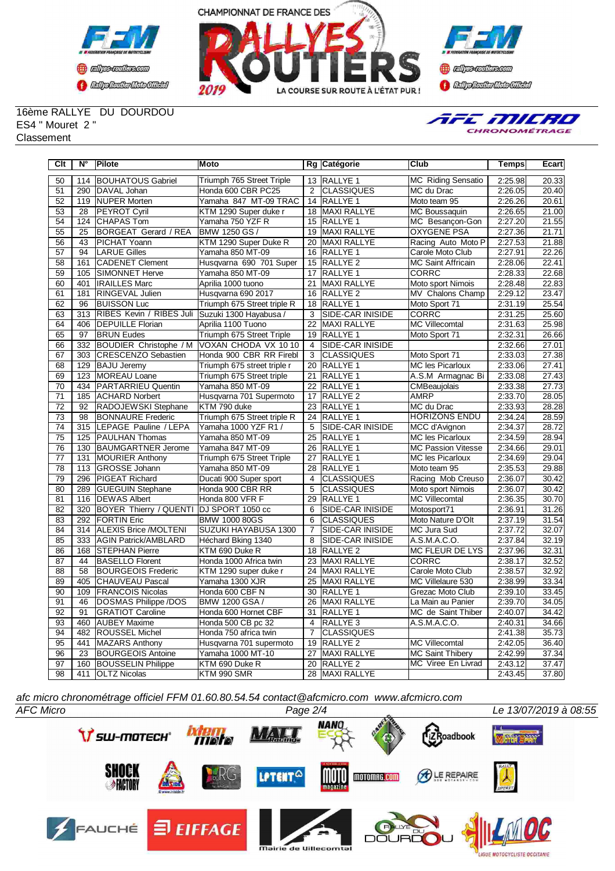



**Confederation Complementation** 

16ème RALLYE DU DOURDOU ES4 " Mouret 2 " **Classement** 



| Clt             | $N^{\circ}$     | Pilote                                    | Moto                        |                 | Rg Catégorie        | Club                      | <b>Temps</b> | Ecart              |
|-----------------|-----------------|-------------------------------------------|-----------------------------|-----------------|---------------------|---------------------------|--------------|--------------------|
| 50              | 114             | <b>BOUHATOUS Gabriel</b>                  | Triumph 765 Street Triple   |                 | 13 RALLYE 1         | <b>MC Riding Sensatio</b> | 2:25.98      | 20.33              |
| 51              | 290             | <b>IDAVAL Johan</b>                       | Honda 600 CBR PC25          | 2               | <b>CLASSIQUES</b>   | MC du Drac                | 2:26.05      | 20.40              |
| 52              |                 | 119 NUPER Morten                          | Yamaha 847 MT-09 TRAC       | 14              | <b>RALLYE 1</b>     | Moto team 95              | 2:26.26      | 20.61              |
| 53              | 28              | <b>PEYROT Cyril</b>                       | KTM 1290 Super duke r       | 18              | <b>IMAXI RALLYE</b> | MC Boussaquin             | 2:26.65      | 21.00              |
| $\overline{54}$ | 124             | <b>CHAPAS Tom</b>                         | Yamaha 750 YZF R            | $\overline{15}$ | <b>RALLYE 1</b>     | MC Besançon-Gon           | 2:27.20      | 21.55              |
| 55              | 25              | <b>BORGEAT Gerard / REA</b>               | BMW 1250 GS /               | 19              | <b>MAXI RALLYE</b>  | <b>OXYGENE PSA</b>        | 2:27.36      | 21.71              |
| 56              | 43              | <b>PICHAT Yoann</b>                       | KTM 1290 Super Duke R       | $\overline{20}$ | <b>MAXI RALLYE</b>  | Racing Auto Moto P        | 2:27.53      | 21.88              |
| 57              | 94              | <b>LARUE Gilles</b>                       | Yamaha 850 MT-09            | 16              | <b>RALLYE 1</b>     | Carole Moto Club          | 2:27.91      | 22.26              |
| 58              | 161             | <b>CADENET Clement</b>                    | Husqvarna 690 701 Super     | 15              | <b>RALLYE 2</b>     | <b>MC Saint Affricain</b> | 2:28.06      | 22.41              |
| 59              | 105             | SIMONNET Herve                            | Yamaha 850 MT-09            | 17              | <b>RALLYE 1</b>     | <b>CORRC</b>              | 2:28.33      | 22.68              |
| 60              | 401             | <b>IRAILLES Marc</b>                      | Aprilia 1000 tuono          | $\overline{21}$ | <b>MAXI RALLYE</b>  | Moto sport Nimois         | 2:28.48      | 22.83              |
| 61              | 181             | RINGEVAL Julien                           | Husqvarna 690 2017          | 16              | RALLYE <sub>2</sub> | MV Chalons Champ          | 2:29.12      | 23.47              |
| 62              | $\overline{96}$ | <b>BUISSON Luc</b>                        | Triumph 675 Street triple R | $\overline{18}$ | RALLYE <sub>1</sub> | Moto Sport 71             | 2:31.19      | 25.54              |
| 63              | 313             | RIBES Kevin / RIBES Juli                  | Suzuki 1300 Hayabusa /      | 3               | SIDE-CAR INISIDE    | <b>CORRC</b>              | 2:31.25      | 25.60              |
| 64              | 406             | <b>DEPUILLE Florian</b>                   | Aprilia 1100 Tuono          | 22              | <b>MAXI RALLYE</b>  | <b>MC Villecomtal</b>     | 2:31.63      | 25.98              |
| 65              | 97              | <b>BRUN Eudes</b>                         | Triumph 675 Street Triple   | 19              | RALLYE 1            | Moto Sport 71             | 2:32.31      | 26.66              |
| 66              | 332             | BOUDIER Christophe / M                    | VOXAN CHODA VX 1010         | 4               | SIDE-CAR INISIDE    |                           | 2:32.66      | 27.01              |
| 67              | 303             | <b>CRESCENZO Sebastien</b>                | Honda 900 CBR RR Firebl     | 3               | <b>CLASSIQUES</b>   | Moto Sport 71             | 2:33.03      | 27.38              |
| 68              | 129             | <b>BAJU Jeremy</b>                        | Triumph 675 street triple r | 20              | <b>RALLYE 1</b>     | <b>MC les Picarloux</b>   | 2:33.06      | $\overline{27.41}$ |
| 69              | 123             | MOREAU Loane                              | Triumph 675 Street triple   | 21              | RALLYE 1            | A.S.M Armagnac Bi         | 2:33.08      | 27.43              |
| 70              | 434             | <b>PARTARRIEU Quentin</b>                 | Yamaha 850 MT-09            | 22              | <b>RALLYE 1</b>     | CMBeaujolais              | 2:33.38      | 27.73              |
| 71              | 185             | <b>ACHARD Norbert</b>                     | Husqvarna 701 Supermoto     | 17              | RALLYE <sub>2</sub> | <b>AMRP</b>               | 2:33.70      | 28.05              |
| 72              | 92              | RADOJEWSKI Stephane                       | KTM 790 duke                | 23              | RALLYE 1            | MC du Drac                | 2:33.93      | 28.28              |
| 73              | 98              | <b>BONNAURE Frederic</b>                  | Triumph 675 Street triple R | 24              | RALLYE 1            | <b>HORIZONS ENDU</b>      | 2:34.24      | 28.59              |
| 74              | 315             | LEPAGE Pauline / LEPA                     | Yamaha 1000 YZF R1 /        | 5               | SIDE-CAR INISIDE    | MCC d'Avignon             | 2:34.37      | 28.72              |
| 75              | 125             | <b>PAULHAN Thomas</b>                     | Yamaha 850 MT-09            | 25              | RALLYE 1            | <b>MC les Picarloux</b>   | 2:34.59      | 28.94              |
| 76              | 130             | <b>BAUMGARTNER Jerome</b>                 | Yamaha 847 MT-09            | 26              | RALLYE <sub>1</sub> | <b>MC Passion Vitesse</b> | 2:34.66      | 29.01              |
| $\overline{77}$ | 131             | <b>MOURIER Anthony</b>                    | Triumph 675 Street Triple   | $\overline{27}$ | RALLYE <sub>1</sub> | <b>MC les Picarloux</b>   | 2:34.69      | 29.04              |
| 78              | 113             | <b>GROSSE Johann</b>                      | Yamaha 850 MT-09            | 28              | RALLYE 1            | Moto team 95              | 2:35.53      | 29.88              |
| 79              | 296             | <b>IPIGEAT Richard</b>                    | Ducati 900 Super sport      | 4               | <b>CLASSIQUES</b>   | Racing Mob Creuso         | 2:36.07      | 30.42              |
| 80              | 289             | <b>GUEGUIN Stephane</b>                   | Honda 900 CBR RR            | 5               | <b>CLASSIQUES</b>   | Moto sport Nimois         | 2:36.07      | 30.42              |
| 81              | 116             | <b>DEWAS Albert</b>                       | Honda 800 VFR F             | 29              | RALLYE 1            | <b>MC Villecomtal</b>     | 2:36.35      | 30.70              |
| 82              | 320             | BOYER Thierry / QUENTI   DJ SPORT 1050 cc |                             | 6               | SIDE-CAR INISIDE    | Motosport71               | 2:36.91      | 31.26              |
| 83              |                 | 292 FORTIN Eric                           | <b>BMW 1000 80GS</b>        | 6               | <b>CLASSIQUES</b>   | Moto Nature D'Olt         | 2:37.19      | 31.54              |
| 84              | 314             | ALEXIS Brice /MOLTENI                     | SUZUKI HAYABUSA 1300        | $\overline{7}$  | SIDE-CAR INISIDE    | MC Jura Sud               | 2:37.72      | 32.07              |
| 85              |                 | 333 AGIN Patrick/AMBLARD                  | Héchard Bking 1340          | 8               | SIDE-CAR INISIDE    | A.S.M.A.C.O.              | 2:37.84      | 32.19              |
| 86              | 168             | <b>STEPHAN Pierre</b>                     | KTM 690 Duke R              | 18              | <b>RALLYE 2</b>     | <b>MC FLEUR DE LYS</b>    | 2:37.96      | 32.31              |
| 87              | 44              | <b>BASELLO Florent</b>                    | Honda 1000 Africa twin      | 23              | MAXI RALLYE         | CORRC                     | 2:38.17      | 32.52              |
| 88              | 58              | <b>BOURGEOIS Frederic</b>                 | KTM 1290 super duke r       | 24              | MAXI RALLYE         | Carole Moto Club          | 2:38.57      | 32.92              |
| 89              | 405             | CHAUVEAU Pascal                           | Yamaha 1300 XJR             | 25              | MAXI RALLYE         | MC Villelaure 530         | 2:38.99      | 33.34              |
| 90              | 109             | <b>FRANCOIS Nicolas</b>                   | Honda 600 CBF N             | 30              | RALLYE 1            | Grezac Moto Club          | 2:39.10      | 33.45              |
| 91              | 46              | DOSMAS Philippe /DOS                      | BMW 1200 GSA /              | 26              | MAXI RALLYE         | La Main au Panier         | 2:39.70      | 34.05              |
| 92              | 91              | <b>GRATIOT Caroline</b>                   | Honda 600 Hornet CBF        | 31              | RALLYE 1            | MC de Saint Thiber        | 2:40.07      | 34.42              |
| 93              | 460             | <b>AUBEY Maxime</b>                       | Honda 500 CB pc 32          | 4               | RALLYE <sub>3</sub> | A.S.M.A.C.O.              | 2:40.31      | 34.66              |
| 94              | 482             | <b>ROUSSEL Michel</b>                     | Honda 750 africa twin       | $\overline{7}$  | <b>CLASSIQUES</b>   |                           | 2:41.38      | 35.73              |
| 95              | 441             | MAZARS Anthony                            | Husqvarna 701 supermoto     | 19              | <b>RALLYE 2</b>     | <b>MC Villecomtal</b>     | 2:42.05      | 36.40              |
| 96              | $\overline{23}$ | <b>BOURGEOIS Antoine</b>                  | Yamaha 1000 MT-10           | 27              | MAXI RALLYE         | <b>MC Saint Thibery</b>   | 2:42.99      | 37.34              |
| 97              | 160             | <b>BOUSSELIN Philippe</b>                 | KTM 690 Duke R              | 20              | <b>RALLYE 2</b>     | MC Viree En Livrad        | 2:43.12      | 37.47              |
| 98              | 411             | <b>OLTZ Nicolas</b>                       | KTM 990 SMR                 | 28              | MAXI RALLYE         |                           | 2:43.45      | 37.80              |

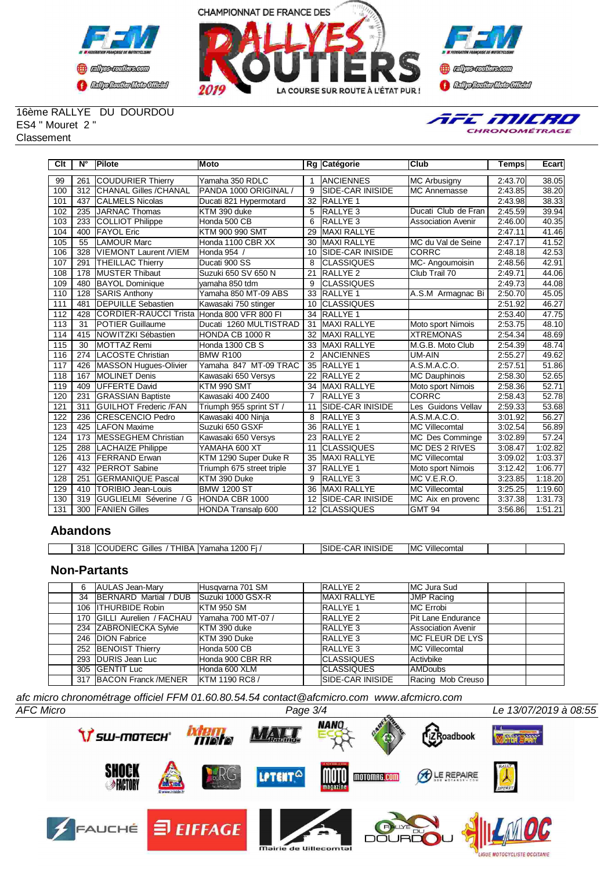





16ème RALLYE DU DOURDOU ES4 " Mouret 2 " **Classement** 



| Clt | $N^{\circ}$ | <b>Pilote</b>                              | Moto                      |                | Rg Catégorie             | Club                      | <b>Temps</b> | Ecart   |
|-----|-------------|--------------------------------------------|---------------------------|----------------|--------------------------|---------------------------|--------------|---------|
| 99  | 261         | <b>COUDURIER Thierry</b>                   | Yamaha 350 RDLC           |                | ANCIENNES                | <b>MC Arbusigny</b>       | 2:43.70      | 38.05   |
| 100 | 312         | <b>CHANAL Gilles /CHANAL</b>               | PANDA 1000 ORIGINAL       | 9              | <b>SIDE-CAR INISIDE</b>  | <b>MC Annemasse</b>       | 2:43.85      | 38.20   |
| 101 | 437         | <b>CALMELS Nicolas</b>                     | Ducati 821 Hypermotard    | 32             | <b>RALLYE 1</b>          |                           | 2:43.98      | 38.33   |
| 102 | 235         | JARNAC Thomas                              | KTM 390 duke              | 5              | <b>RALLYE 3</b>          | Ducati Club de Fran       | 2:45.59      | 39.94   |
| 103 | 233         | COLLIOT Philippe                           | Honda 500 CB              | 6              | <b>RALLYE 3</b>          | <b>Association Avenir</b> | 2:46.00      | 40.35   |
| 104 | 400         | <b>IFAYOL Eric</b>                         | KTM 900 990 SMT           | 29             | <b>MAXI RALLYE</b>       |                           | 2:47.11      | 41.46   |
| 105 | 55          | LAMOUR Marc                                | Honda 1100 CBR XX         | 30             | MAXI RALLYE              | MC du Val de Seine        | 2:47.17      | 41.52   |
| 106 | 328         | VIEMONT Laurent /VIEM                      | Honda 954 /               | 10             | <b>SIDE-CAR INISIDE</b>  | <b>CORRC</b>              | 2:48.18      | 42.53   |
| 107 | 291         | <b>THEILLAC Thierry</b>                    | Ducati 900 SS             | 8              | <b>CLASSIQUES</b>        | MC-Angoumoisin            | 2:48.56      | 42.91   |
| 108 | 178         | <b>MUSTER Thibaut</b>                      | Suzuki 650 SV 650 N       | 21             | <b>RALLYE 2</b>          | Club Trail 70             | 2:49.71      | 44.06   |
| 109 | 480         | <b>BAYOL Dominique</b>                     | yamaha 850 tdm            | 9              | <b>CLASSIQUES</b>        |                           | 2:49.73      | 44.08   |
| 110 | 128         | SARIS Anthony                              | Yamaha 850 MT-09 ABS      | 33             | <b>RALLYE 1</b>          | A.S.M Armagnac Bi         | 2:50.70      | 45.05   |
| 111 | 481         | <b>IDEPUILLE Sebastien</b>                 | Kawasaki 750 stinger      | 10             | <b>ICLASSIQUES</b>       |                           | 2:51.92      | 46.27   |
| 112 | 428         | CORDIER-RAUCCI Trista Honda 800 VFR 800 FI |                           | 34             | <b>RALLYE 1</b>          |                           | 2:53.40      | 47.75   |
| 113 | 31          | <b>IPOTIER Guillaume</b>                   | Ducati 1260 MULTISTRAD    | 31             | MAXI RALLYE              | Moto sport Nimois         | 2:53.75      | 48.10   |
| 114 | 415         | <b>INOWITZKI Sébastien</b>                 | HONDA CB 1000 R           | 32             | <b>MAXI RALLYE</b>       | <b>XTREMONAS</b>          | 2:54.34      | 48.69   |
| 115 | 30          | MOTTAZ Remi                                | Honda 1300 CB S           | 33             | <b>MAXI RALLYE</b>       | M.G.B. Moto Club          | 2:54.39      | 48.74   |
| 116 | 274         | LACOSTE Christian                          | <b>BMW R100</b>           | $\overline{2}$ | <b>ANCIENNES</b>         | UM-AIN                    | 2:55.27      | 49.62   |
| 117 | 426         | MASSON Hugues-Olivier                      | Yamaha 847 MT-09 TRAC     | 35             | <b>IRALLYE 1</b>         | A.S.M.A.C.O.              | 2:57.51      | 51.86   |
| 118 | 167         | <b>IMOLINET Denis</b>                      | Kawasaki 650 Versys       | 22             | <b>IRALLYE 2</b>         | <b>MC Dauphinois</b>      | 2:58.30      | 52.65   |
| 119 | 409         | <b>IUFFERTE David</b>                      | KTM 990 SMT               | 34             | <b>MAXI RALLYE</b>       | Moto sport Nimois         | 2:58.36      | 52.71   |
| 120 | 231         | <b>GRASSIAN Baptiste</b>                   | Kawasaki 400 Z400         |                | <b>RALLYE3</b>           | <b>CORRC</b>              | 2:58.43      | 52.78   |
| 121 | 311         | <b>IGUILHOT Frederic /FAN</b>              | Triumph 955 sprint ST /   | 11             | <b>ISIDE-CAR INISIDE</b> | Les Guidons Vellav        | 2:59.33      | 53.68   |
| 122 | 236         | <b>ICRESCENCIO Pedro</b>                   | Kawasaki 400 Ninja        | 8              | <b>RALLYE3</b>           | A.S.M.A.C.O.              | 3:01.92      | 56.27   |
| 123 | 425         | <b>LAFON Maxime</b>                        | Suzuki 650 GSXF           | 36             | <b>RALLYE 1</b>          | MC Villecomtal            | 3:02.54      | 56.89   |
| 124 | 173         | <b>IMESSEGHEM Christian</b>                | Kawasaki 650 Versys       | 23             | <b>IRALLYE 2</b>         | MC Des Comminge           | 3:02.89      | 57.24   |
| 125 | 288         | LACHAIZE Philippe                          | YAMAHA 600 XT             | 11             | <b>CLASSIQUES</b>        | <b>MC DES 2 RIVES</b>     | 3:08.47      | 1:02.82 |
| 126 | 413         | <b>IFERRAND Erwan</b>                      | KTM 1290 Super Duke R     | 35             | <b>MAXI RALLYE</b>       | <b>MC Villecomtal</b>     | 3:09.02      | 1:03.37 |
| 127 | 432         | <b>IPERROT Sabine</b>                      | Triumph 675 street triple | 37             | <b>RALLYE 1</b>          | Moto sport Nimois         | 3:12.42      | 1:06.77 |
| 128 | 251         | <b>GERMANIQUE Pascal</b>                   | KTM 390 Duke              | 9              | <b>RALLYE3</b>           | MC V.E.R.O.               | 3:23.85      | 1:18.20 |
| 129 | 410         | <b>TORIBIO Jean-Louis</b>                  | <b>BMW 1200 ST</b>        | 36             | <b>MAXI RALLYE</b>       | <b>MC Villecomtal</b>     | 3:25.25      | 1:19.60 |
| 130 | 319         | <b>IGUGLIELMI Séverine / G</b>             | HONDA CBR 1000            | 12             | <b>ISIDE-CAR INISIDE</b> | MC Aix en provenc         | 3:37.38      | 1:31.73 |
| 131 |             | 300 FANIEN Gilles                          | HONDA Transalp 600        |                | 12 CLASSIQUES            | <b>GMT 94</b>             | 3:56.86      | 1:51.21 |

## **Abandons**

| 318 | THIBA.<br><b>ICOUDERC</b><br>Gilles | .<br>1200 Fi<br>Yamaha | <b>INISIDE</b><br>SIDE<br>-AP. | Villecomtal<br>MC |  |
|-----|-------------------------------------|------------------------|--------------------------------|-------------------|--|

# **Non-Partants**

| 6 | AULAS Jean-Mary                            | Husqvarna 701 SM      | RALLYE <sub>2</sub>      | MC Jura Sud               |  |
|---|--------------------------------------------|-----------------------|--------------------------|---------------------------|--|
|   | 34 BERNARD Martial / DUB Suzuki 1000 GSX-R |                       | <b>MAXI RALLYE</b>       | <b>JMP Racing</b>         |  |
|   | 106 ITHURBIDE Robin                        | <b>KTM 950 SM</b>     | <b>RALLYE 1</b>          | <b>MC</b> Errobi          |  |
|   | 170 GILLI Aurelien / FACHAU                | Yamaha 700 MT-07 /    | RALLYE <sub>2</sub>      | <b>Pit Lane Endurance</b> |  |
|   | 234 ZABRONIECKA Sylvie                     | KTM 390 duke          | RALLYE <sub>3</sub>      | <b>Association Avenir</b> |  |
|   | 246 DION Fabrice                           | KTM 390 Duke          | <b>RALLYE 3</b>          | <b>MC FLEUR DE LYS</b>    |  |
|   | 252 BENOIST Thierry                        | Honda 500 CB          | <b>RALLYE 3</b>          | <b>MC Villecomtal</b>     |  |
|   | 293 IDURIS Jean Luc                        | Honda 900 CBR RR      | <b>CLASSIQUES</b>        | Activbike                 |  |
|   | 305 IGENTIT Luc                            | Honda 600 XLM         | <b>CLASSIQUES</b>        | <b>AMDoubs</b>            |  |
|   | 317 BACON Franck /MENER                    | <b>IKTM 1190 RC8/</b> | <b>ISIDE-CAR INISIDE</b> | Racing Mob Creuso         |  |